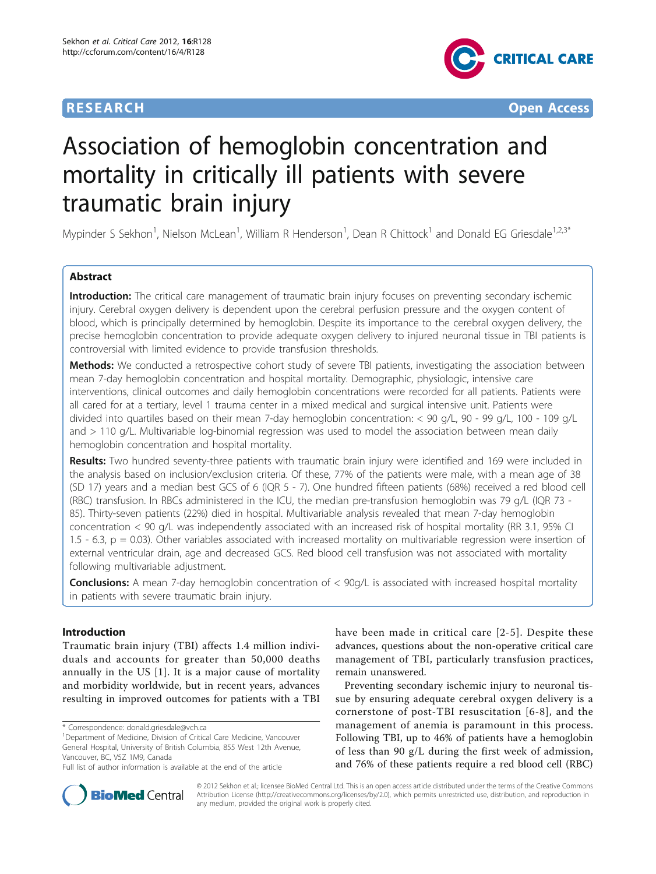

**RESEARCH CONTROL** CONTROL CONTROL CONTROL CONTROL CONTROL CONTROL CONTROL CONTROL CONTROL CONTROL CONTROL CONTROL CONTROL CONTROL CONTROL CONTROL CONTROL CONTROL CONTROL CONTROL CONTROL CONTROL CONTROL CONTROL CONTROL CON

# Association of hemoglobin concentration and mortality in critically ill patients with severe traumatic brain injury

Mypinder S Sekhon<sup>1</sup>, Nielson McLean<sup>1</sup>, William R Henderson<sup>1</sup>, Dean R Chittock<sup>1</sup> and Donald EG Griesdale<sup>1,2,3\*</sup>

# Abstract

Introduction: The critical care management of traumatic brain injury focuses on preventing secondary ischemic injury. Cerebral oxygen delivery is dependent upon the cerebral perfusion pressure and the oxygen content of blood, which is principally determined by hemoglobin. Despite its importance to the cerebral oxygen delivery, the precise hemoglobin concentration to provide adequate oxygen delivery to injured neuronal tissue in TBI patients is controversial with limited evidence to provide transfusion thresholds.

Methods: We conducted a retrospective cohort study of severe TBI patients, investigating the association between mean 7-day hemoglobin concentration and hospital mortality. Demographic, physiologic, intensive care interventions, clinical outcomes and daily hemoglobin concentrations were recorded for all patients. Patients were all cared for at a tertiary, level 1 trauma center in a mixed medical and surgical intensive unit. Patients were divided into quartiles based on their mean 7-day hemoglobin concentration: < 90 g/L, 90 - 99 g/L, 100 - 109 g/L and > 110 g/L. Multivariable log-binomial regression was used to model the association between mean daily hemoglobin concentration and hospital mortality.

Results: Two hundred seventy-three patients with traumatic brain injury were identified and 169 were included in the analysis based on inclusion/exclusion criteria. Of these, 77% of the patients were male, with a mean age of 38 (SD 17) years and a median best GCS of 6 (IQR 5 - 7). One hundred fifteen patients (68%) received a red blood cell (RBC) transfusion. In RBCs administered in the ICU, the median pre-transfusion hemoglobin was 79 g/L (IQR 73 - 85). Thirty-seven patients (22%) died in hospital. Multivariable analysis revealed that mean 7-day hemoglobin concentration < 90 g/L was independently associated with an increased risk of hospital mortality (RR 3.1, 95% CI 1.5 - 6.3,  $p = 0.03$ ). Other variables associated with increased mortality on multivariable regression were insertion of external ventricular drain, age and decreased GCS. Red blood cell transfusion was not associated with mortality following multivariable adjustment.

**Conclusions:** A mean 7-day hemoglobin concentration of  $<$  90g/L is associated with increased hospital mortality in patients with severe traumatic brain injury.

# Introduction

Traumatic brain injury (TBI) affects 1.4 million individuals and accounts for greater than 50,000 deaths annually in the US [\[1\]](#page-6-0). It is a major cause of mortality and morbidity worldwide, but in recent years, advances resulting in improved outcomes for patients with a TBI

\* Correspondence: [donald.griesdale@vch.ca](mailto:donald.griesdale@vch.ca)

have been made in critical care [[2](#page-6-0)-[5\]](#page-6-0). Despite these advances, questions about the non-operative critical care management of TBI, particularly transfusion practices, remain unanswered.

Preventing secondary ischemic injury to neuronal tissue by ensuring adequate cerebral oxygen delivery is a cornerstone of post-TBI resuscitation [[6](#page-6-0)-[8](#page-6-0)], and the management of anemia is paramount in this process. Following TBI, up to 46% of patients have a hemoglobin of less than 90 g/L during the first week of admission, and 76% of these patients require a red blood cell (RBC)



© 2012 Sekhon et al.; licensee BioMed Central Ltd. This is an open access article distributed under the terms of the Creative Commons Attribution License [\(http://creativecommons.org/licenses/by/2.0](http://creativecommons.org/licenses/by/2.0)), which permits unrestricted use, distribution, and reproduction in any medium, provided the original work is properly cited.

<sup>&</sup>lt;sup>1</sup>Department of Medicine, Division of Critical Care Medicine, Vancouver General Hospital, University of British Columbia, 855 West 12th Avenue, Vancouver, BC, V5Z 1M9, Canada

Full list of author information is available at the end of the article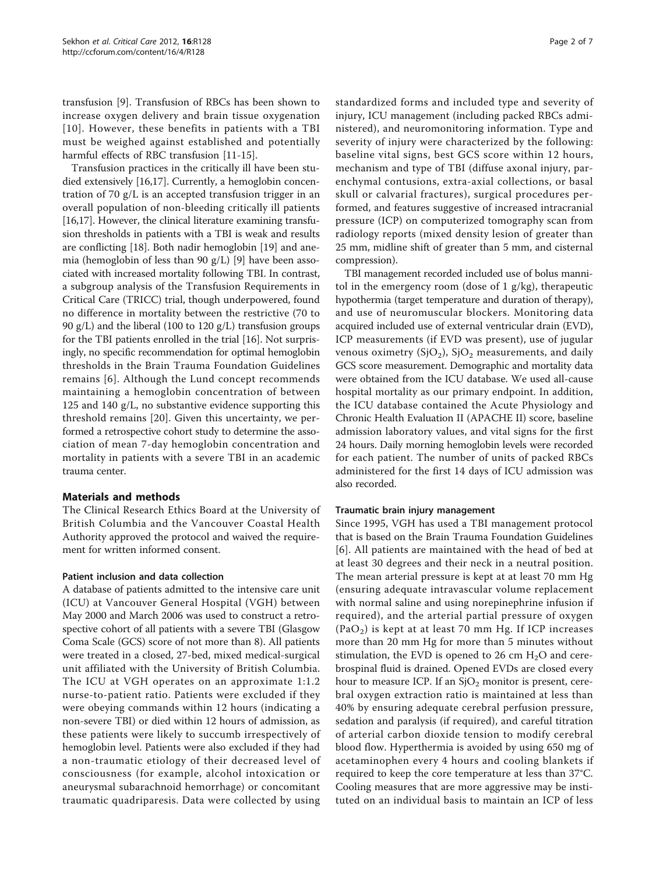transfusion [\[9](#page-6-0)]. Transfusion of RBCs has been shown to increase oxygen delivery and brain tissue oxygenation [[10\]](#page-6-0). However, these benefits in patients with a TBI must be weighed against established and potentially harmful effects of RBC transfusion [[11](#page-6-0)-[15\]](#page-6-0).

Transfusion practices in the critically ill have been studied extensively [[16,17](#page-6-0)]. Currently, a hemoglobin concentration of 70 g/L is an accepted transfusion trigger in an overall population of non-bleeding critically ill patients [[16,17](#page-6-0)]. However, the clinical literature examining transfusion thresholds in patients with a TBI is weak and results are conflicting [[18\]](#page-6-0). Both nadir hemoglobin [\[19\]](#page-6-0) and anemia (hemoglobin of less than 90 g/L) [[9\]](#page-6-0) have been associated with increased mortality following TBI. In contrast, a subgroup analysis of the Transfusion Requirements in Critical Care (TRICC) trial, though underpowered, found no difference in mortality between the restrictive (70 to 90 g/L) and the liberal (100 to 120 g/L) transfusion groups for the TBI patients enrolled in the trial [\[16](#page-6-0)]. Not surprisingly, no specific recommendation for optimal hemoglobin thresholds in the Brain Trauma Foundation Guidelines remains [[6\]](#page-6-0). Although the Lund concept recommends maintaining a hemoglobin concentration of between 125 and 140 g/L, no substantive evidence supporting this threshold remains [[20\]](#page-6-0). Given this uncertainty, we performed a retrospective cohort study to determine the association of mean 7-day hemoglobin concentration and mortality in patients with a severe TBI in an academic trauma center.

# Materials and methods

The Clinical Research Ethics Board at the University of British Columbia and the Vancouver Coastal Health Authority approved the protocol and waived the requirement for written informed consent.

# Patient inclusion and data collection

A database of patients admitted to the intensive care unit (ICU) at Vancouver General Hospital (VGH) between May 2000 and March 2006 was used to construct a retrospective cohort of all patients with a severe TBI (Glasgow Coma Scale (GCS) score of not more than 8). All patients were treated in a closed, 27-bed, mixed medical-surgical unit affiliated with the University of British Columbia. The ICU at VGH operates on an approximate 1:1.2 nurse-to-patient ratio. Patients were excluded if they were obeying commands within 12 hours (indicating a non-severe TBI) or died within 12 hours of admission, as these patients were likely to succumb irrespectively of hemoglobin level. Patients were also excluded if they had a non-traumatic etiology of their decreased level of consciousness (for example, alcohol intoxication or aneurysmal subarachnoid hemorrhage) or concomitant traumatic quadriparesis. Data were collected by using standardized forms and included type and severity of injury, ICU management (including packed RBCs administered), and neuromonitoring information. Type and severity of injury were characterized by the following: baseline vital signs, best GCS score within 12 hours, mechanism and type of TBI (diffuse axonal injury, parenchymal contusions, extra-axial collections, or basal skull or calvarial fractures), surgical procedures performed, and features suggestive of increased intracranial pressure (ICP) on computerized tomography scan from radiology reports (mixed density lesion of greater than 25 mm, midline shift of greater than 5 mm, and cisternal compression).

TBI management recorded included use of bolus mannitol in the emergency room (dose of  $1$  g/kg), therapeutic hypothermia (target temperature and duration of therapy), and use of neuromuscular blockers. Monitoring data acquired included use of external ventricular drain (EVD), ICP measurements (if EVD was present), use of jugular venous oximetry  $(SjO<sub>2</sub>)$ ,  $SjO<sub>2</sub>$  measurements, and daily GCS score measurement. Demographic and mortality data were obtained from the ICU database. We used all-cause hospital mortality as our primary endpoint. In addition, the ICU database contained the Acute Physiology and Chronic Health Evaluation II (APACHE II) score, baseline admission laboratory values, and vital signs for the first 24 hours. Daily morning hemoglobin levels were recorded for each patient. The number of units of packed RBCs administered for the first 14 days of ICU admission was also recorded.

# Traumatic brain injury management

Since 1995, VGH has used a TBI management protocol that is based on the Brain Trauma Foundation Guidelines [[6](#page-6-0)]. All patients are maintained with the head of bed at at least 30 degrees and their neck in a neutral position. The mean arterial pressure is kept at at least 70 mm Hg (ensuring adequate intravascular volume replacement with normal saline and using norepinephrine infusion if required), and the arterial partial pressure of oxygen  $(PaO<sub>2</sub>)$  is kept at at least 70 mm Hg. If ICP increases more than 20 mm Hg for more than 5 minutes without stimulation, the EVD is opened to 26 cm  $H<sub>2</sub>O$  and cerebrospinal fluid is drained. Opened EVDs are closed every hour to measure ICP. If an  $S/O<sub>2</sub>$  monitor is present, cerebral oxygen extraction ratio is maintained at less than 40% by ensuring adequate cerebral perfusion pressure, sedation and paralysis (if required), and careful titration of arterial carbon dioxide tension to modify cerebral blood flow. Hyperthermia is avoided by using 650 mg of acetaminophen every 4 hours and cooling blankets if required to keep the core temperature at less than 37°C. Cooling measures that are more aggressive may be instituted on an individual basis to maintain an ICP of less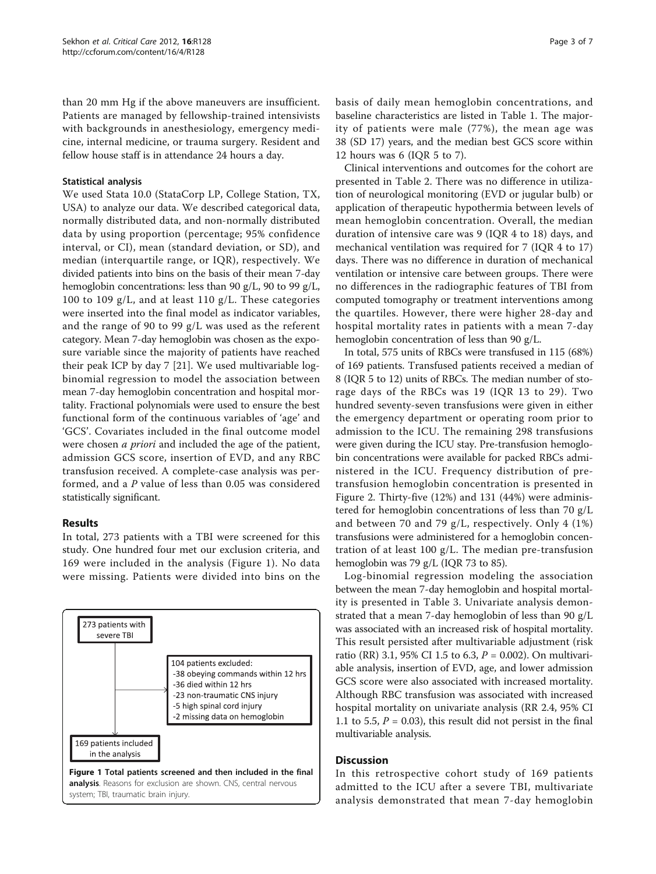than 20 mm Hg if the above maneuvers are insufficient. Patients are managed by fellowship-trained intensivists with backgrounds in anesthesiology, emergency medicine, internal medicine, or trauma surgery. Resident and fellow house staff is in attendance 24 hours a day.

# Statistical analysis

We used Stata 10.0 (StataCorp LP, College Station, TX, USA) to analyze our data. We described categorical data, normally distributed data, and non-normally distributed data by using proportion (percentage; 95% confidence interval, or CI), mean (standard deviation, or SD), and median (interquartile range, or IQR), respectively. We divided patients into bins on the basis of their mean 7-day hemoglobin concentrations: less than 90 g/L, 90 to 99 g/L, 100 to 109 g/L, and at least 110 g/L. These categories were inserted into the final model as indicator variables, and the range of 90 to 99 g/L was used as the referent category. Mean 7-day hemoglobin was chosen as the exposure variable since the majority of patients have reached their peak ICP by day 7 [\[21](#page-6-0)]. We used multivariable logbinomial regression to model the association between mean 7-day hemoglobin concentration and hospital mortality. Fractional polynomials were used to ensure the best functional form of the continuous variables of 'age' and 'GCS'. Covariates included in the final outcome model were chosen *a priori* and included the age of the patient, admission GCS score, insertion of EVD, and any RBC transfusion received. A complete-case analysis was performed, and a P value of less than 0.05 was considered statistically significant.

# Results

In total, 273 patients with a TBI were screened for this study. One hundred four met our exclusion criteria, and 169 were included in the analysis (Figure 1). No data were missing. Patients were divided into bins on the



basis of daily mean hemoglobin concentrations, and baseline characteristics are listed in Table [1.](#page-3-0) The majority of patients were male (77%), the mean age was 38 (SD 17) years, and the median best GCS score within 12 hours was 6 (IQR 5 to 7).

Clinical interventions and outcomes for the cohort are presented in Table [2](#page-3-0). There was no difference in utilization of neurological monitoring (EVD or jugular bulb) or application of therapeutic hypothermia between levels of mean hemoglobin concentration. Overall, the median duration of intensive care was 9 (IQR 4 to 18) days, and mechanical ventilation was required for 7 (IQR 4 to 17) days. There was no difference in duration of mechanical ventilation or intensive care between groups. There were no differences in the radiographic features of TBI from computed tomography or treatment interventions among the quartiles. However, there were higher 28-day and hospital mortality rates in patients with a mean 7-day hemoglobin concentration of less than 90 g/L.

In total, 575 units of RBCs were transfused in 115 (68%) of 169 patients. Transfused patients received a median of 8 (IQR 5 to 12) units of RBCs. The median number of storage days of the RBCs was 19 (IQR 13 to 29). Two hundred seventy-seven transfusions were given in either the emergency department or operating room prior to admission to the ICU. The remaining 298 transfusions were given during the ICU stay. Pre-transfusion hemoglobin concentrations were available for packed RBCs administered in the ICU. Frequency distribution of pretransfusion hemoglobin concentration is presented in Figure [2.](#page-4-0) Thirty-five (12%) and 131 (44%) were administered for hemoglobin concentrations of less than 70 g/L and between 70 and 79 g/L, respectively. Only 4 (1%) transfusions were administered for a hemoglobin concentration of at least 100 g/L. The median pre-transfusion hemoglobin was 79 g/L (IQR 73 to 85).

Log-binomial regression modeling the association between the mean 7-day hemoglobin and hospital mortality is presented in Table [3.](#page-4-0) Univariate analysis demonstrated that a mean 7-day hemoglobin of less than 90 g/L was associated with an increased risk of hospital mortality. This result persisted after multivariable adjustment (risk ratio (RR) 3.1, 95% CI 1.5 to 6.3, P = 0.002). On multivariable analysis, insertion of EVD, age, and lower admission GCS score were also associated with increased mortality. Although RBC transfusion was associated with increased hospital mortality on univariate analysis (RR 2.4, 95% CI 1.1 to 5.5,  $P = 0.03$ ), this result did not persist in the final multivariable analysis.

## **Discussion**

In this retrospective cohort study of 169 patients admitted to the ICU after a severe TBI, multivariate analysis demonstrated that mean 7-day hemoglobin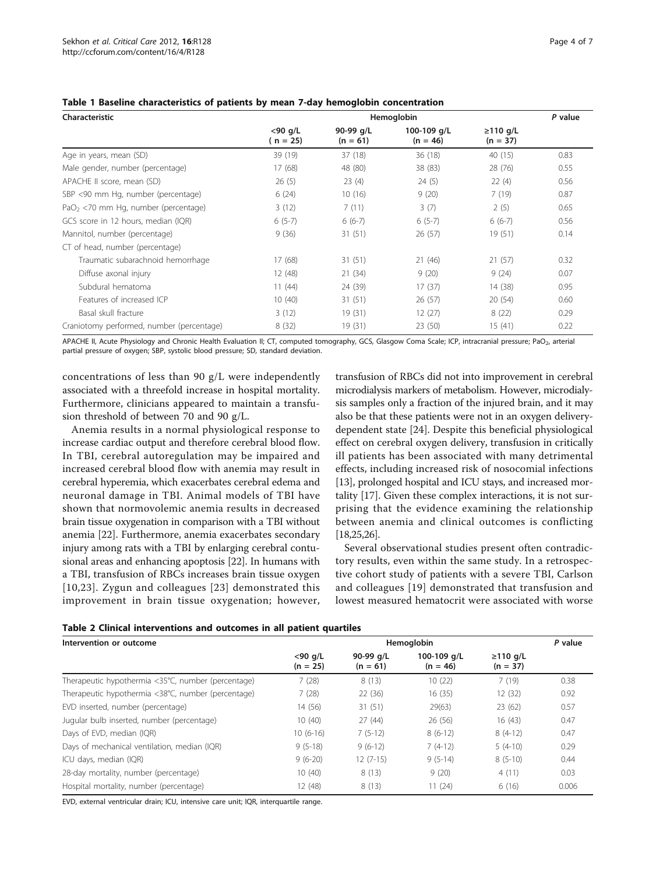| Characteristic                            | Hemoglobin               |                         |                           |                              |      |  |
|-------------------------------------------|--------------------------|-------------------------|---------------------------|------------------------------|------|--|
|                                           | $<$ 90 g/L<br>$(n = 25)$ | 90-99 g/L<br>$(n = 61)$ | 100-109 g/L<br>$(n = 46)$ | $\geq$ 110 g/L<br>$(n = 37)$ |      |  |
| Age in years, mean (SD)                   | 39 (19)                  | 37 (18)                 | 36 (18)                   | 40 (15)                      | 0.83 |  |
| Male gender, number (percentage)          | 17(68)                   | 48 (80)                 | 38 (83)                   | 28 (76)                      | 0.55 |  |
| APACHE II score, mean (SD)                | 26(5)                    | 23(4)                   | 24(5)                     | 22(4)                        | 0.56 |  |
| SBP <90 mm Hg, number (percentage)        | 6(24)                    | 10(16)                  | 9(20)                     | 7(19)                        | 0.87 |  |
| $PaO2 < 70$ mm Hg, number (percentage)    | 3(12)                    | 7(11)                   | 3(7)                      | 2(5)                         | 0.65 |  |
| GCS score in 12 hours, median (IQR)       | $6(5-7)$                 | $6(6-7)$                | $6(5-7)$                  | $6(6-7)$                     | 0.56 |  |
| Mannitol, number (percentage)             | 9(36)                    | 31(51)                  | 26(57)                    | 19 (51)                      | 0.14 |  |
| CT of head, number (percentage)           |                          |                         |                           |                              |      |  |
| Traumatic subarachnoid hemorrhage         | 17(68)                   | 31(51)                  | 21(46)                    | 21(57)                       | 0.32 |  |
| Diffuse axonal injury                     | 12 (48)                  | 21(34)                  | 9(20)                     | 9(24)                        | 0.07 |  |
| Subdural hematoma                         | 11(44)                   | 24 (39)                 | 17(37)                    | 14 (38)                      | 0.95 |  |
| Features of increased ICP                 | 10(40)                   | 31(51)                  | 26(57)                    | 20(54)                       | 0.60 |  |
| Basal skull fracture                      | 3(12)                    | 19 (31)                 | 12(27)                    | 8(22)                        | 0.29 |  |
| Craniotomy performed, number (percentage) | 8(32)                    | 19 (31)                 | 23(50)                    | 15(41)                       | 0.22 |  |

#### <span id="page-3-0"></span>Table 1 Baseline characteristics of patients by mean 7-day hemoglobin concentration

APACHE II, Acute Physiology and Chronic Health Evaluation II; CT, computed tomography, GCS, Glasgow Coma Scale; ICP, intracranial pressure; PaO<sub>2</sub>, arterial partial pressure of oxygen; SBP, systolic blood pressure; SD, standard deviation.

concentrations of less than 90 g/L were independently associated with a threefold increase in hospital mortality. Furthermore, clinicians appeared to maintain a transfusion threshold of between 70 and 90 g/L.

Anemia results in a normal physiological response to increase cardiac output and therefore cerebral blood flow. In TBI, cerebral autoregulation may be impaired and increased cerebral blood flow with anemia may result in cerebral hyperemia, which exacerbates cerebral edema and neuronal damage in TBI. Animal models of TBI have shown that normovolemic anemia results in decreased brain tissue oxygenation in comparison with a TBI without anemia [\[22\]](#page-6-0). Furthermore, anemia exacerbates secondary injury among rats with a TBI by enlarging cerebral contusional areas and enhancing apoptosis [[22\]](#page-6-0). In humans with a TBI, transfusion of RBCs increases brain tissue oxygen [[10,23\]](#page-6-0). Zygun and colleagues [[23\]](#page-6-0) demonstrated this improvement in brain tissue oxygenation; however,

transfusion of RBCs did not into improvement in cerebral microdialysis markers of metabolism. However, microdialysis samples only a fraction of the injured brain, and it may also be that these patients were not in an oxygen deliverydependent state [\[24](#page-6-0)]. Despite this beneficial physiological effect on cerebral oxygen delivery, transfusion in critically ill patients has been associated with many detrimental effects, including increased risk of nosocomial infections [[13](#page-6-0)], prolonged hospital and ICU stays, and increased mortality [[17](#page-6-0)]. Given these complex interactions, it is not surprising that the evidence examining the relationship between anemia and clinical outcomes is conflicting [[18,25,26](#page-6-0)].

Several observational studies present often contradictory results, even within the same study. In a retrospective cohort study of patients with a severe TBI, Carlson and colleagues [[19\]](#page-6-0) demonstrated that transfusion and lowest measured hematocrit were associated with worse

| Table 2 Clinical interventions and outcomes in all patient quartiles |  |  |  |  |  |  |  |
|----------------------------------------------------------------------|--|--|--|--|--|--|--|
|----------------------------------------------------------------------|--|--|--|--|--|--|--|

| Intervention or outcome                            | Hemoglobin               |                         |                           |                              |       |
|----------------------------------------------------|--------------------------|-------------------------|---------------------------|------------------------------|-------|
|                                                    | $<$ 90 g/L<br>$(n = 25)$ | 90-99 g/L<br>$(n = 61)$ | 100-109 g/L<br>$(n = 46)$ | $\geq$ 110 g/L<br>$(n = 37)$ |       |
| Therapeutic hypothermia <35°C, number (percentage) | 7(28)                    | 8(13)                   | 10(22)                    | 7(19)                        | 0.38  |
| Therapeutic hypothermia <38°C, number (percentage) | 7(28)                    | 22(36)                  | 16(35)                    | 12(32)                       | 0.92  |
| EVD inserted, number (percentage)                  | 14 (56)                  | 31(51)                  | 29(63)                    | 23(62)                       | 0.57  |
| Jugular bulb inserted, number (percentage)         | 10(40)                   | 27(44)                  | 26(56)                    | 16(43)                       | 0.47  |
| Days of EVD, median (IQR)                          | $10(6-16)$               | $7(5-12)$               | $8(6-12)$                 | $8(4-12)$                    | 0.47  |
| Days of mechanical ventilation, median (IQR)       | $9(5-18)$                | $9(6-12)$               | $7(4-12)$                 | $5(4-10)$                    | 0.29  |
| ICU days, median (IQR)                             | $9(6-20)$                | $12(7-15)$              | $9(5-14)$                 | $8(5-10)$                    | 0.44  |
| 28-day mortality, number (percentage)              | 10(40)                   | 8(13)                   | 9(20)                     | 4(11)                        | 0.03  |
| Hospital mortality, number (percentage)            | 12 (48)                  | 8(13)                   | 11(24)                    | 6(16)                        | 0.006 |

EVD, external ventricular drain; ICU, intensive care unit; IQR, interquartile range.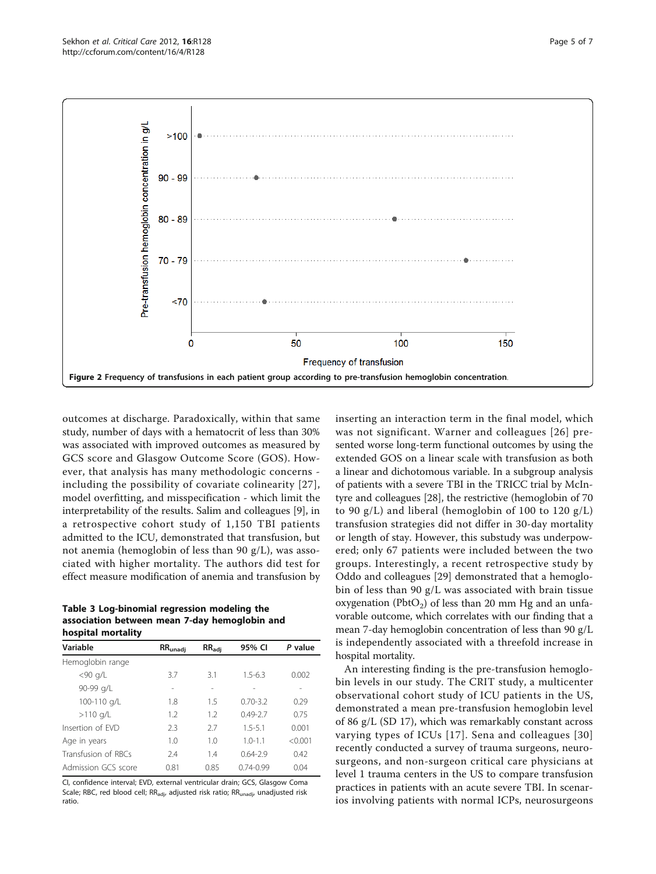<span id="page-4-0"></span>

outcomes at discharge. Paradoxically, within that same study, number of days with a hematocrit of less than 30% was associated with improved outcomes as measured by GCS score and Glasgow Outcome Score (GOS). However, that analysis has many methodologic concerns including the possibility of covariate colinearity [[27\]](#page-6-0), model overfitting, and misspecification - which limit the interpretability of the results. Salim and colleagues [[9](#page-6-0)], in a retrospective cohort study of 1,150 TBI patients admitted to the ICU, demonstrated that transfusion, but not anemia (hemoglobin of less than 90 g/L), was associated with higher mortality. The authors did test for effect measure modification of anemia and transfusion by

Table 3 Log-binomial regression modeling the association between mean 7-day hemoglobin and hospital mortality

| Variable            | $RR_{unadj}$ | $RR_{\text{adj}}$ | 95% CI        | P value |  |
|---------------------|--------------|-------------------|---------------|---------|--|
| Hemoglobin range    |              |                   |               |         |  |
| $<$ 90 g/L          | 3.7          | 3.1               | $1.5 - 6.3$   | 0.002   |  |
| 90-99 g/L           | -            | $\overline{a}$    |               |         |  |
| 100-110 g/L         | 1.8          | 1.5               | $0.70 - 3.2$  | 0.29    |  |
| $>110$ g/L          | 1.2          | 12                | $0.49 - 2.7$  | 0.75    |  |
| Insertion of FVD    | 23           | 27                | $1.5 - 5.1$   | 0.001   |  |
| Age in years        | 1.0          | 1.0               | $1.0 - 1.1$   | < 0.001 |  |
| Transfusion of RBCs | 7.4          | 1.4               | $0.64 - 2.9$  | 0.42    |  |
| Admission GCS score | 0.81         | 0.85              | $0.74 - 0.99$ | 0.04    |  |
|                     |              |                   |               |         |  |

CI, confidence interval; EVD, external ventricular drain; GCS, Glasgow Coma Scale; RBC, red blood cell; RR<sub>adi</sub>, adjusted risk ratio; RR<sub>unadi</sub>, unadjusted risk ratio.

inserting an interaction term in the final model, which was not significant. Warner and colleagues [[26\]](#page-6-0) presented worse long-term functional outcomes by using the extended GOS on a linear scale with transfusion as both a linear and dichotomous variable. In a subgroup analysis of patients with a severe TBI in the TRICC trial by McIntyre and colleagues [[28\]](#page-6-0), the restrictive (hemoglobin of 70 to 90  $g/L$ ) and liberal (hemoglobin of 100 to 120  $g/L$ ) transfusion strategies did not differ in 30-day mortality or length of stay. However, this substudy was underpowered; only 67 patients were included between the two groups. Interestingly, a recent retrospective study by Oddo and colleagues [\[29](#page-6-0)] demonstrated that a hemoglobin of less than 90 g/L was associated with brain tissue oxygenation (PbtO<sub>2</sub>) of less than 20 mm Hg and an unfavorable outcome, which correlates with our finding that a mean 7-day hemoglobin concentration of less than 90 g/L is independently associated with a threefold increase in hospital mortality.

An interesting finding is the pre-transfusion hemoglobin levels in our study. The CRIT study, a multicenter observational cohort study of ICU patients in the US, demonstrated a mean pre-transfusion hemoglobin level of 86 g/L (SD 17), which was remarkably constant across varying types of ICUs [[17](#page-6-0)]. Sena and colleagues [[30](#page-6-0)] recently conducted a survey of trauma surgeons, neurosurgeons, and non-surgeon critical care physicians at level 1 trauma centers in the US to compare transfusion practices in patients with an acute severe TBI. In scenarios involving patients with normal ICPs, neurosurgeons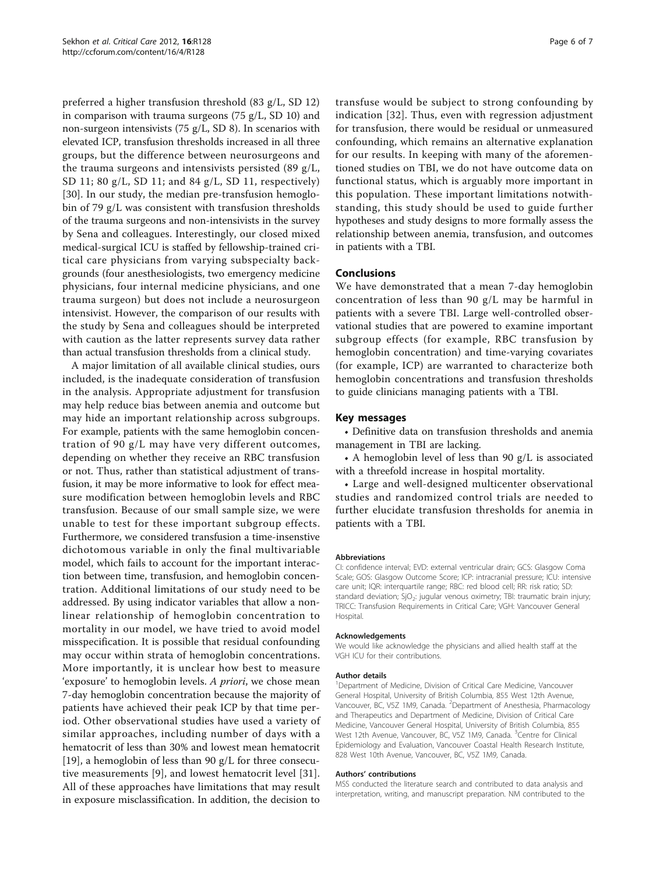preferred a higher transfusion threshold (83 g/L, SD 12) in comparison with trauma surgeons (75 g/L, SD 10) and non-surgeon intensivists (75 g/L, SD 8). In scenarios with elevated ICP, transfusion thresholds increased in all three groups, but the difference between neurosurgeons and the trauma surgeons and intensivists persisted (89 g/L, SD 11; 80 g/L, SD 11; and 84 g/L, SD 11, respectively) [[30\]](#page-6-0). In our study, the median pre-transfusion hemoglobin of 79 g/L was consistent with transfusion thresholds of the trauma surgeons and non-intensivists in the survey by Sena and colleagues. Interestingly, our closed mixed medical-surgical ICU is staffed by fellowship-trained critical care physicians from varying subspecialty backgrounds (four anesthesiologists, two emergency medicine physicians, four internal medicine physicians, and one trauma surgeon) but does not include a neurosurgeon intensivist. However, the comparison of our results with the study by Sena and colleagues should be interpreted with caution as the latter represents survey data rather than actual transfusion thresholds from a clinical study.

A major limitation of all available clinical studies, ours included, is the inadequate consideration of transfusion in the analysis. Appropriate adjustment for transfusion may help reduce bias between anemia and outcome but may hide an important relationship across subgroups. For example, patients with the same hemoglobin concentration of 90 g/L may have very different outcomes, depending on whether they receive an RBC transfusion or not. Thus, rather than statistical adjustment of transfusion, it may be more informative to look for effect measure modification between hemoglobin levels and RBC transfusion. Because of our small sample size, we were unable to test for these important subgroup effects. Furthermore, we considered transfusion a time-insenstive dichotomous variable in only the final multivariable model, which fails to account for the important interaction between time, transfusion, and hemoglobin concentration. Additional limitations of our study need to be addressed. By using indicator variables that allow a nonlinear relationship of hemoglobin concentration to mortality in our model, we have tried to avoid model misspecification. It is possible that residual confounding may occur within strata of hemoglobin concentrations. More importantly, it is unclear how best to measure 'exposure' to hemoglobin levels. A priori, we chose mean 7-day hemoglobin concentration because the majority of patients have achieved their peak ICP by that time period. Other observational studies have used a variety of similar approaches, including number of days with a hematocrit of less than 30% and lowest mean hematocrit [[19\]](#page-6-0), a hemoglobin of less than 90 g/L for three consecutive measurements [[9\]](#page-6-0), and lowest hematocrit level [[31](#page-6-0)]. All of these approaches have limitations that may result in exposure misclassification. In addition, the decision to

transfuse would be subject to strong confounding by indication [[32](#page-6-0)]. Thus, even with regression adjustment for transfusion, there would be residual or unmeasured confounding, which remains an alternative explanation for our results. In keeping with many of the aforementioned studies on TBI, we do not have outcome data on functional status, which is arguably more important in this population. These important limitations notwithstanding, this study should be used to guide further hypotheses and study designs to more formally assess the relationship between anemia, transfusion, and outcomes in patients with a TBI.

# Conclusions

We have demonstrated that a mean 7-day hemoglobin concentration of less than 90 g/L may be harmful in patients with a severe TBI. Large well-controlled observational studies that are powered to examine important subgroup effects (for example, RBC transfusion by hemoglobin concentration) and time-varying covariates (for example, ICP) are warranted to characterize both hemoglobin concentrations and transfusion thresholds to guide clinicians managing patients with a TBI.

### Key messages

• Definitive data on transfusion thresholds and anemia management in TBI are lacking.

• A hemoglobin level of less than 90 g/L is associated with a threefold increase in hospital mortality.

• Large and well-designed multicenter observational studies and randomized control trials are needed to further elucidate transfusion thresholds for anemia in patients with a TBI.

#### Abbreviations

CI: confidence interval; EVD: external ventricular drain; GCS: Glasgow Coma Scale; GOS: Glasgow Outcome Score; ICP: intracranial pressure; ICU: intensive care unit; IQR: interquartile range; RBC: red blood cell; RR: risk ratio; SD: standard deviation;  $SiO<sub>2</sub>$ : jugular venous oximetry; TBI: traumatic brain injury; TRICC: Transfusion Requirements in Critical Care; VGH: Vancouver General Hospital.

#### Acknowledgements

We would like acknowledge the physicians and allied health staff at the VGH ICU for their contributions.

#### Author details

<sup>1</sup>Department of Medicine, Division of Critical Care Medicine, Vancouver General Hospital, University of British Columbia, 855 West 12th Avenue, Vancouver, BC, V5Z 1M9, Canada. <sup>2</sup>Department of Anesthesia, Pharmacology and Therapeutics and Department of Medicine, Division of Critical Care Medicine, Vancouver General Hospital, University of British Columbia, 855 West 12th Avenue, Vancouver, BC, V5Z 1M9, Canada. <sup>3</sup>Centre for Clinical Epidemiology and Evaluation, Vancouver Coastal Health Research Institute, 828 West 10th Avenue, Vancouver, BC, V5Z 1M9, Canada.

#### Authors' contributions

MSS conducted the literature search and contributed to data analysis and interpretation, writing, and manuscript preparation. NM contributed to the